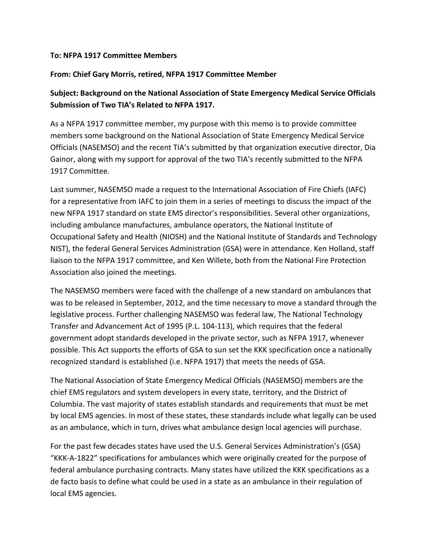#### **To: NFPA 1917 Committee Members**

### **From: Chief Gary Morris, retired, NFPA 1917 Committee Member**

# **Subject: Background on the National Association of State Emergency Medical Service Officials Submission of Two TIA's Related to NFPA 1917.**

As a NFPA 1917 committee member, my purpose with this memo is to provide committee members some background on the National Association of State Emergency Medical Service Officials (NASEMSO) and the recent TIA's submitted by that organization executive director, Dia Gainor, along with my support for approval of the two TIA's recently submitted to the NFPA 1917 Committee.

Last summer, NASEMSO made a request to the International Association of Fire Chiefs (IAFC) for a representative from IAFC to join them in a series of meetings to discuss the impact of the new NFPA 1917 standard on state EMS director's responsibilities. Several other organizations, including ambulance manufactures, ambulance operators, the National Institute of Occupational Safety and Health (NIOSH) and the National Institute of Standards and Technology NIST), the federal General Services Administration (GSA) were in attendance. Ken Holland, staff liaison to the NFPA 1917 committee, and Ken Willete, both from the National Fire Protection Association also joined the meetings.

The NASEMSO members were faced with the challenge of a new standard on ambulances that was to be released in September, 2012, and the time necessary to move a standard through the legislative process. Further challenging NASEMSO was federal law, The National Technology Transfer and Advancement Act of 1995 (P.L. 104-113), which requires that the federal government adopt standards developed in the private sector, such as NFPA 1917, whenever possible. This Act supports the efforts of GSA to sun set the KKK specification once a nationally recognized standard is established (i.e. NFPA 1917) that meets the needs of GSA.

The National Association of State Emergency Medical Officials (NASEMSO) members are the chief EMS regulators and system developers in every state, territory, and the District of Columbia. The vast majority of states establish standards and requirements that must be met by local EMS agencies. In most of these states, these standards include what legally can be used as an ambulance, which in turn, drives what ambulance design local agencies will purchase.

For the past few decades states have used the U.S. General Services Administration's (GSA) "KKK-A-1822" specifications for ambulances which were originally created for the purpose of federal ambulance purchasing contracts. Many states have utilized the KKK specifications as a de facto basis to define what could be used in a state as an ambulance in their regulation of local EMS agencies.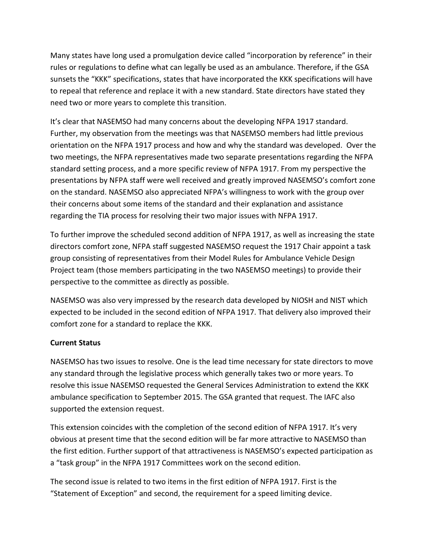Many states have long used a promulgation device called "incorporation by reference" in their rules or regulations to define what can legally be used as an ambulance. Therefore, if the GSA sunsets the "KKK" specifications, states that have incorporated the KKK specifications will have to repeal that reference and replace it with a new standard. State directors have stated they need two or more years to complete this transition.

It's clear that NASEMSO had many concerns about the developing NFPA 1917 standard. Further, my observation from the meetings was that NASEMSO members had little previous orientation on the NFPA 1917 process and how and why the standard was developed. Over the two meetings, the NFPA representatives made two separate presentations regarding the NFPA standard setting process, and a more specific review of NFPA 1917. From my perspective the presentations by NFPA staff were well received and greatly improved NASEMSO's comfort zone on the standard. NASEMSO also appreciated NFPA's willingness to work with the group over their concerns about some items of the standard and their explanation and assistance regarding the TIA process for resolving their two major issues with NFPA 1917.

To further improve the scheduled second addition of NFPA 1917, as well as increasing the state directors comfort zone, NFPA staff suggested NASEMSO request the 1917 Chair appoint a task group consisting of representatives from their Model Rules for Ambulance Vehicle Design Project team (those members participating in the two NASEMSO meetings) to provide their perspective to the committee as directly as possible.

NASEMSO was also very impressed by the research data developed by NIOSH and NIST which expected to be included in the second edition of NFPA 1917. That delivery also improved their comfort zone for a standard to replace the KKK.

### **Current Status**

NASEMSO has two issues to resolve. One is the lead time necessary for state directors to move any standard through the legislative process which generally takes two or more years. To resolve this issue NASEMSO requested the General Services Administration to extend the KKK ambulance specification to September 2015. The GSA granted that request. The IAFC also supported the extension request.

This extension coincides with the completion of the second edition of NFPA 1917. It's very obvious at present time that the second edition will be far more attractive to NASEMSO than the first edition. Further support of that attractiveness is NASEMSO's expected participation as a "task group" in the NFPA 1917 Committees work on the second edition.

The second issue is related to two items in the first edition of NFPA 1917. First is the "Statement of Exception" and second, the requirement for a speed limiting device.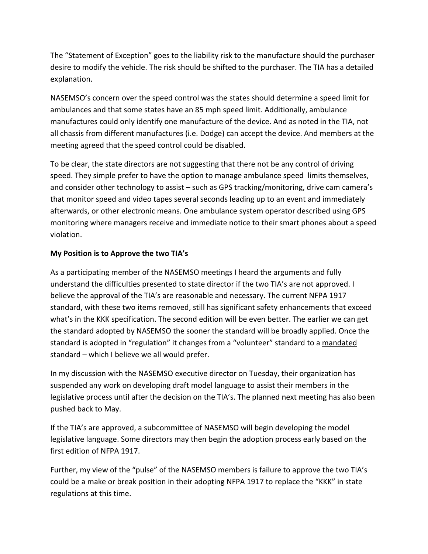The "Statement of Exception" goes to the liability risk to the manufacture should the purchaser desire to modify the vehicle. The risk should be shifted to the purchaser. The TIA has a detailed explanation.

NASEMSO's concern over the speed control was the states should determine a speed limit for ambulances and that some states have an 85 mph speed limit. Additionally, ambulance manufactures could only identify one manufacture of the device. And as noted in the TIA, not all chassis from different manufactures (i.e. Dodge) can accept the device. And members at the meeting agreed that the speed control could be disabled.

To be clear, the state directors are not suggesting that there not be any control of driving speed. They simple prefer to have the option to manage ambulance speed limits themselves, and consider other technology to assist – such as GPS tracking/monitoring, drive cam camera's that monitor speed and video tapes several seconds leading up to an event and immediately afterwards, or other electronic means. One ambulance system operator described using GPS monitoring where managers receive and immediate notice to their smart phones about a speed violation.

## **My Position is to Approve the two TIA's**

As a participating member of the NASEMSO meetings I heard the arguments and fully understand the difficulties presented to state director if the two TIA's are not approved. I believe the approval of the TIA's are reasonable and necessary. The current NFPA 1917 standard, with these two items removed, still has significant safety enhancements that exceed what's in the KKK specification. The second edition will be even better. The earlier we can get the standard adopted by NASEMSO the sooner the standard will be broadly applied. Once the standard is adopted in "regulation" it changes from a "volunteer" standard to a mandated standard – which I believe we all would prefer.

In my discussion with the NASEMSO executive director on Tuesday, their organization has suspended any work on developing draft model language to assist their members in the legislative process until after the decision on the TIA's. The planned next meeting has also been pushed back to May.

If the TIA's are approved, a subcommittee of NASEMSO will begin developing the model legislative language. Some directors may then begin the adoption process early based on the first edition of NFPA 1917.

Further, my view of the "pulse" of the NASEMSO members is failure to approve the two TIA's could be a make or break position in their adopting NFPA 1917 to replace the "KKK" in state regulations at this time.